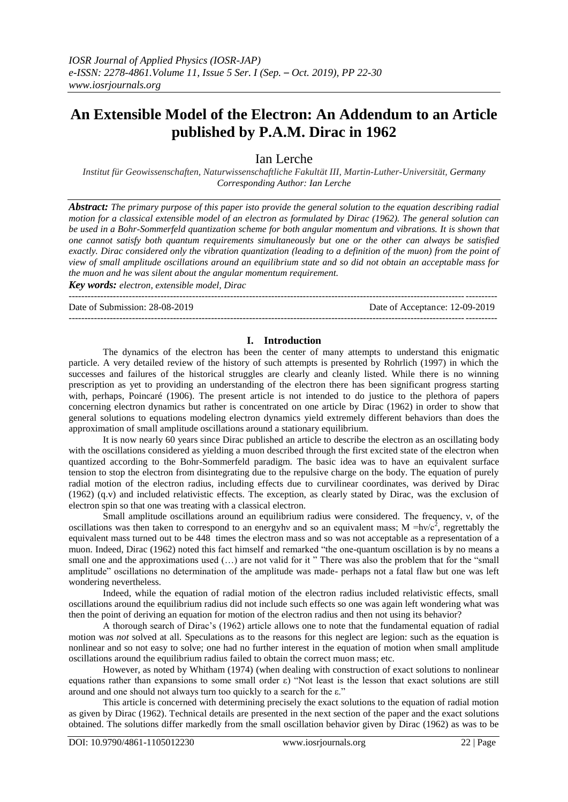# **An Extensible Model of the Electron: An Addendum to an Article published by P.A.M. Dirac in 1962**

Ian Lerche

*Institut für Geowissenschaften, Naturwissenschaftliche Fakultät III, Martin-Luther-Universität, Germany Corresponding Author: Ian Lerche*

*Abstract: The primary purpose of this paper isto provide the general solution to the equation describing radial motion for a classical extensible model of an electron as formulated by Dirac (1962). The general solution can be used in a Bohr-Sommerfeld quantization scheme for both angular momentum and vibrations. It is shown that one cannot satisfy both quantum requirements simultaneously but one or the other can always be satisfied exactly. Dirac considered only the vibration quantization (leading to a definition of the muon) from the point of view of small amplitude oscillations around an equilibrium state and so did not obtain an acceptable mass for the muon and he was silent about the angular momentum requirement.* 

*Key words: electron, extensible model, Dirac* ---------------------------------------------------------------------------------------------------------------------------------------

Date of Submission: 28-08-2019 Date of Acceptance: 12-09-2019

# **I. Introduction**

---------------------------------------------------------------------------------------------------------------------------------------

The dynamics of the electron has been the center of many attempts to understand this enigmatic particle. A very detailed review of the history of such attempts is presented by Rohrlich (1997) in which the successes and failures of the historical struggles are clearly and cleanly listed. While there is no winning prescription as yet to providing an understanding of the electron there has been significant progress starting with, perhaps, Poincaré (1906). The present article is not intended to do justice to the plethora of papers concerning electron dynamics but rather is concentrated on one article by Dirac (1962) in order to show that general solutions to equations modeling electron dynamics yield extremely different behaviors than does the approximation of small amplitude oscillations around a stationary equilibrium.

It is now nearly 60 years since Dirac published an article to describe the electron as an oscillating body with the oscillations considered as yielding a muon described through the first excited state of the electron when quantized according to the Bohr-Sommerfeld paradigm. The basic idea was to have an equivalent surface tension to stop the electron from disintegrating due to the repulsive charge on the body. The equation of purely radial motion of the electron radius, including effects due to curvilinear coordinates, was derived by Dirac (1962) (q.v) and included relativistic effects. The exception, as clearly stated by Dirac, was the exclusion of electron spin so that one was treating with a classical electron.

Small amplitude oscillations around an equilibrium radius were considered. The frequency, ν, of the oscillations was then taken to correspond to an energyhv and so an equivalent mass; M =hv/ $c^2$ , regrettably the equivalent mass turned out to be 448 times the electron mass and so was not acceptable as a representation of a muon. Indeed, Dirac (1962) noted this fact himself and remarked "the one-quantum oscillation is by no means a small one and the approximations used  $(...)$  are not valid for it " There was also the problem that for the "small" amplitude" oscillations no determination of the amplitude was made- perhaps not a fatal flaw but one was left wondering nevertheless.

Indeed, while the equation of radial motion of the electron radius included relativistic effects, small oscillations around the equilibrium radius did not include such effects so one was again left wondering what was then the point of deriving an equation for motion of the electron radius and then not using its behavior?

A thorough search of Dirac's (1962) article allows one to note that the fundamental equation of radial motion was *not* solved at all. Speculations as to the reasons for this neglect are legion: such as the equation is nonlinear and so not easy to solve; one had no further interest in the equation of motion when small amplitude oscillations around the equilibrium radius failed to obtain the correct muon mass; etc.

However, as noted by Whitham (1974) (when dealing with construction of exact solutions to nonlinear equations rather than expansions to some small order ε) "Not least is the lesson that exact solutions are still around and one should not always turn too quickly to a search for the ε."

This article is concerned with determining precisely the exact solutions to the equation of radial motion as given by Dirac (1962). Technical details are presented in the next section of the paper and the exact solutions obtained. The solutions differ markedly from the small oscillation behavior given by Dirac (1962) as was to be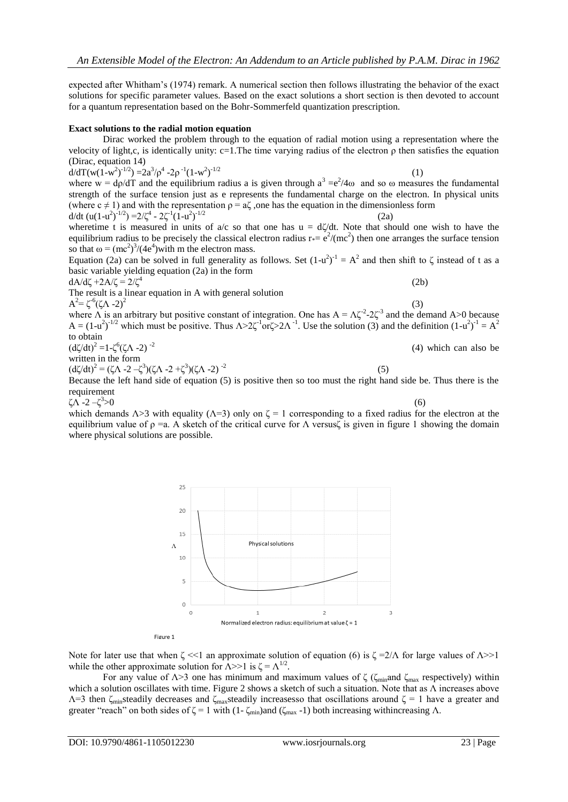expected after Whitham's (1974) remark. A numerical section then follows illustrating the behavior of the exact solutions for specific parameter values. Based on the exact solutions a short section is then devoted to account for a quantum representation based on the Bohr-Sommerfeld quantization prescription.

#### **Exact solutions to the radial motion equation**

Dirac worked the problem through to the equation of radial motion using a representation where the velocity of light,c, is identically unity: c=1.The time varying radius of the electron  $\rho$  then satisfies the equation (Dirac, equation 14)

d/dT(w(1-w<sup>2</sup>)<sup>-1/2</sup>) =2a<sup>3</sup>/ $\rho$ <sup>4</sup> -2 $\rho$ <sup>-1</sup>(1-w<sup>2</sup>)  $-1/2$  (1) where  $w = d\rho/dT$  and the equilibrium radius a is given through  $a^3 = e^2/4\omega$  and so  $\omega$  measures the fundamental strength of the surface tension just as e represents the fundamental charge on the electron. In physical units (where  $c \neq 1$ ) and with the representation  $\rho = a\zeta$ , one has the equation in the dimensionless form d/dt  $(u(1-u^2)^{-1/2}) = 2/\zeta^4 - 2\zeta^{-1}(1-u^2)$  $^{1/2}$  (2a)

wheretime t is measured in units of  $a/c$  so that one has  $u = d\zeta/dt$ . Note that should one wish to have the equilibrium radius to be precisely the classical electron radius  $r_*=e^2/(mc^2)$  then one arranges the surface tension so that  $\omega = (mc^2)^3/(4e^4)$  with m the electron mass.

Equation (2a) can be solved in full generality as follows. Set  $(1-u^2)^{-1} = A^2$  and then shift to  $\zeta$  instead of t as a basic variable yielding equation (2a) in the form

(2b)

(5)

dA/dζ +2A/ζ =  $2/\zeta^4$ 

The result is a linear equation in A with general solution  $A^2 = \zeta^6 (\zeta \Lambda - 2)^2$ 

25

(3) where  $\Lambda$  is an arbitrary but positive constant of integration. One has  $A = \Lambda \zeta^{-2} - 2\zeta^3$  and the demand A  $>0$  because  $A = (1-u^2)^{-1/2}$  which must be positive. Thus  $\Lambda > 2\zeta^{-1}$  or  $\zeta > 2\Lambda^{-1}$ . Use the solution (3) and the definition  $(1-u^2)^{-1} = A^2$ to obtain (dζ/dt)<sup>2</sup> =1-ζ<sup>6</sup>(ζΛ -2)<sup>-2</sup> (4) which can also be

written in the form

 $(d\zeta/dt)^2 = (\zeta \Lambda - 2 - \zeta^3)(\zeta \Lambda - 2 + \zeta^3)(\zeta \Lambda - 2)^{-2}$ 

Because the left hand side of equation (5) is positive then so too must the right hand side be. Thus there is the requirement

ζΛ -2 –ζ 3

 $>0$  (6) which demands  $\Lambda > 3$  with equality ( $\Lambda = 3$ ) only on  $\zeta = 1$  corresponding to a fixed radius for the electron at the equilibrium value of  $\rho =a$ . A sketch of the critical curve for  $\Lambda$  versus $\zeta$  is given in figure 1 showing the domain where physical solutions are possible.



Figure 1

Note for later use that when  $\zeta \ll 1$  an approximate solution of equation (6) is  $\zeta = 2/\Lambda$  for large values of  $\Lambda >> 1$ while the other approximate solution for  $\Lambda > 1$  is  $\zeta = \Lambda^{1/2}$ .

For any value of  $\Lambda$ >3 one has minimum and maximum values of  $\zeta$  ( $\zeta$ <sub>min</sub>and  $\zeta$ <sub>max</sub> respectively) within which a solution oscillates with time. Figure 2 shows a sketch of such a situation. Note that as Λ increases above  $Λ=3$  then ζ<sub>min</sub>steadily decreases and ζ<sub>max</sub>steadily increasesso that oscillations around ζ = 1 have a greater and greater "reach" on both sides of  $\zeta = 1$  with (1- $\zeta_{min}$ )and ( $\zeta_{max}$ -1) both increasing withincreasing Λ.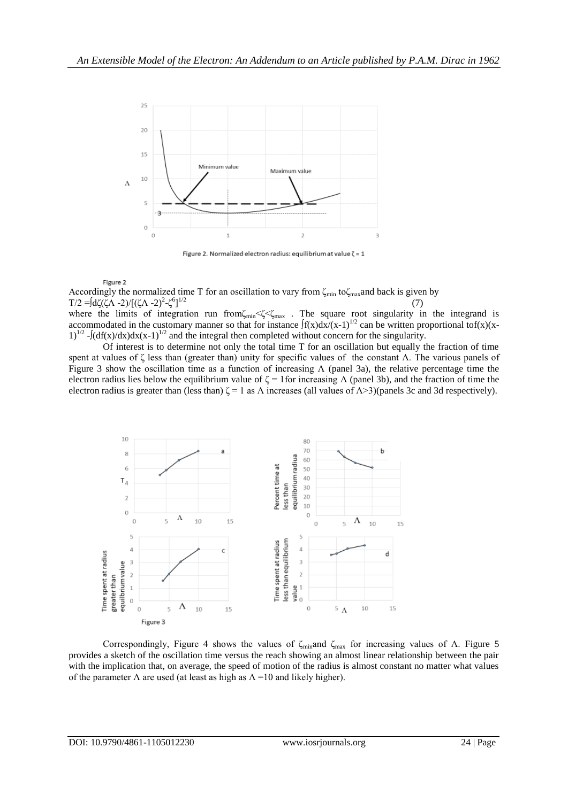

Figure 2. Normalized electron radius: equilibrium at value  $\zeta = 1$ 

#### Figure 2

Accordingly the normalized time T for an oscillation to vary from  $\zeta_{min}$  to $\zeta_{max}$  and back is given by T/2 =∫dζ(ζΛ -2)/[(ζΛ -2)<sup>2</sup>-ζ<sup>6</sup>]  $^{1/2}$  (7)

where the limits of integration run from $\zeta_{min} \ll \zeta \ll_{max}$ . The square root singularity in the integrand is accommodated in the customary manner so that for instance  $\int f(x)dx/(x-1)^{1/2}$  can be written proportional tof(x)(x- $1)^{1/2}$  - $\int (df(x)/dx)dx(x-1)^{1/2}$  and the integral then completed without concern for the singularity.

Of interest is to determine not only the total time T for an oscillation but equally the fraction of time spent at values of ζ less than (greater than) unity for specific values of the constant Λ. The various panels of Figure 3 show the oscillation time as a function of increasing  $\Lambda$  (panel 3a), the relative percentage time the electron radius lies below the equilibrium value of  $\zeta = 1$  for increasing  $\Lambda$  (panel 3b), and the fraction of time the electron radius is greater than (less than)  $\zeta = 1$  as  $\Lambda$  increases (all values of  $\Lambda > 3$ )(panels 3c and 3d respectively).



Correspondingly, Figure 4 shows the values of  $\zeta_{\text{min}}$  and  $\zeta_{\text{max}}$  for increasing values of Λ. Figure 5 provides a sketch of the oscillation time versus the reach showing an almost linear relationship between the pair with the implication that, on average, the speed of motion of the radius is almost constant no matter what values of the parameter  $\Lambda$  are used (at least as high as  $\Lambda = 10$  and likely higher).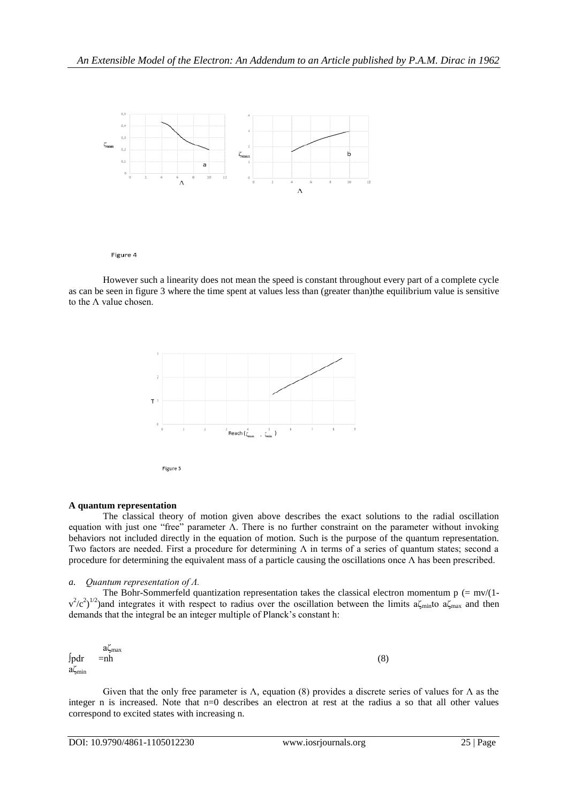

Figure 4

However such a linearity does not mean the speed is constant throughout every part of a complete cycle as can be seen in figure 3 where the time spent at values less than (greater than)the equilibrium value is sensitive to the Λ value chosen.



## **A quantum representation**

The classical theory of motion given above describes the exact solutions to the radial oscillation equation with just one "free" parameter Λ. There is no further constraint on the parameter without invoking behaviors not included directly in the equation of motion. Such is the purpose of the quantum representation. Two factors are needed. First a procedure for determining  $\Lambda$  in terms of a series of quantum states; second a procedure for determining the equivalent mass of a particle causing the oscillations once  $\Lambda$  has been prescribed.

# *a. Quantum representation of Λ.*

The Bohr-Sommerfeld quantization representation takes the classical electron momentum  $p (= mv/(1$  $v^2/c^2$ )<sup>1/2</sup>)and integrates it with respect to radius over the oscillation between the limits a $\zeta_{min}$  to a $\zeta_{max}$  and then demands that the integral be an integer multiple of Planck's constant h:

$$
\int_{\text{pdr}} \text{and} \int_{\text{min}} \text{anh} \tag{8}
$$

Given that the only free parameter is  $\Lambda$ , equation (8) provides a discrete series of values for  $\Lambda$  as the integer n is increased. Note that n=0 describes an electron at rest at the radius a so that all other values correspond to excited states with increasing n.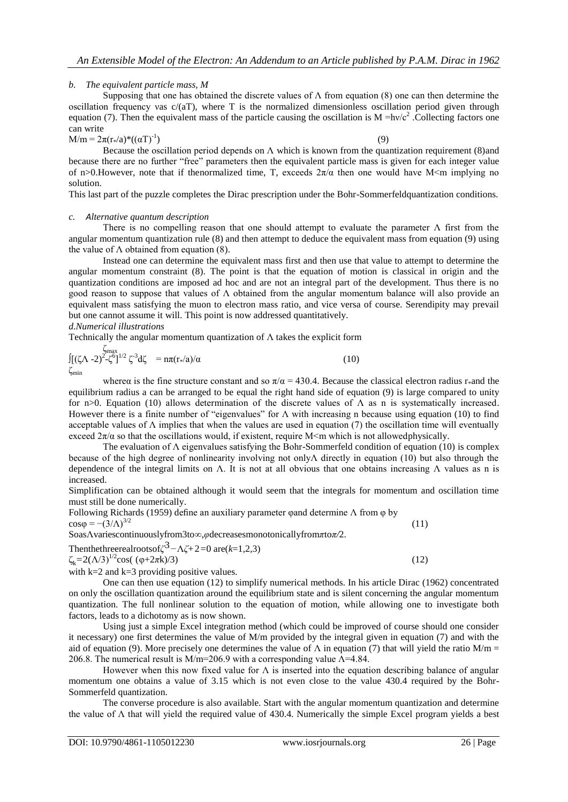# *b. The equivalent particle mass, M*

Supposing that one has obtained the discrete values of  $\Lambda$  from equation (8) one can then determine the oscillation frequency vas  $c/(aT)$ , where T is the normalized dimensionless oscillation period given through equation (7). Then the equivalent mass of the particle causing the oscillation is  $M = hv/c^2$ . Collecting factors one can write

 $M/m = 2\pi (r_{*}/a)^{*}((\alpha T)^{-1})$ 

 $)$  (9) Because the oscillation period depends on  $\Lambda$  which is known from the quantization requirement (8)and because there are no further "free" parameters then the equivalent particle mass is given for each integer value of n>0.However, note that if the<br>normalized time, T, exceeds  $2\pi/\alpha$  then one would have M<m implying no solution.

This last part of the puzzle completes the Dirac prescription under the Bohr-Sommerfeldquantization conditions.

#### *c. Alternative quantum description*

There is no compelling reason that one should attempt to evaluate the parameter  $\Lambda$  first from the angular momentum quantization rule (8) and then attempt to deduce the equivalent mass from equation (9) using the value of  $\Lambda$  obtained from equation (8).

Instead one can determine the equivalent mass first and then use that value to attempt to determine the angular momentum constraint (8). The point is that the equation of motion is classical in origin and the quantization conditions are imposed ad hoc and are not an integral part of the development. Thus there is no good reason to suppose that values of Λ obtained from the angular momentum balance will also provide an equivalent mass satisfying the muon to electron mass ratio, and vice versa of course. Serendipity may prevail but one cannot assume it will. This point is now addressed quantitatively. *d.Numerical illustrations*

Technically the angular momentum quantization of  $\Lambda$  takes the explicit form

$$
\int_{\text{Cmin}}^{\text{Cmax}} [(\zeta \Lambda - 2)^2 - \zeta^6]^{1/2} \zeta^{-3} d\zeta = n\pi (r_*/a)/\alpha \tag{10}
$$

wherea is the fine structure constant and so  $\pi/\alpha = 430.4$ . Because the classical electron radius r\*and the equilibrium radius a can be arranged to be equal the right hand side of equation (9) is large compared to unity for n>0. Equation (10) allows determination of the discrete values of  $\Lambda$  as n is systematically increased. However there is a finite number of "eigenvalues" for Λ with increasing n because using equation (10) to find acceptable values of  $\Lambda$  implies that when the values are used in equation (7) the oscillation time will eventually exceed  $2\pi/\alpha$  so that the oscillations would, if existent, require M $\leq$ m which is not allowed physically.

The evaluation of  $\Lambda$  eigenvalues satisfying the Bohr-Sommerfeld condition of equation (10) is complex because of the high degree of nonlinearity involving not onlyΛ directly in equation (10) but also through the dependence of the integral limits on  $\Lambda$ . It is not at all obvious that one obtains increasing  $\Lambda$  values as n is increased.

Simplification can be obtained although it would seem that the integrals for momentum and oscillation time must still be done numerically.

Following Richards (1959) define an auxiliary parameter φand determine Λ from φ by  $\cos \varphi = -(3/\Lambda)^{3/2}$  (11)

SoasΛvariescontinuouslyfrom3to*∞*,*φ*decreasesmonotonicallyfrom*π*to*π/*2.

Then the three real roots of 
$$
\zeta^3 - \Lambda \zeta + 2 = 0
$$
 are  $(k=1,2,3)$ 

$$
\zeta_{k} = 2(\Lambda/3)^{1/2} \cos((\varphi + 2\pi k)/3) \tag{12}
$$

with  $k=2$  and  $k=3$  providing positive values.

One can then use equation (12) to simplify numerical methods. In his article Dirac (1962) concentrated on only the oscillation quantization around the equilibrium state and is silent concerning the angular momentum quantization. The full nonlinear solution to the equation of motion, while allowing one to investigate both factors, leads to a dichotomy as is now shown.

Using just a simple Excel integration method (which could be improved of course should one consider it necessary) one first determines the value of M/m provided by the integral given in equation (7) and with the aid of equation (9). More precisely one determines the value of  $\Lambda$  in equation (7) that will yield the ratio M/m = 206.8. The numerical result is M/m=206.9 with a corresponding value  $\Lambda$ =4.84.

However when this now fixed value for  $\Lambda$  is inserted into the equation describing balance of angular momentum one obtains a value of 3.15 which is not even close to the value 430.4 required by the Bohr-Sommerfeld quantization.

The converse procedure is also available. Start with the angular momentum quantization and determine the value of Λ that will yield the required value of 430.4. Numerically the simple Excel program yields a best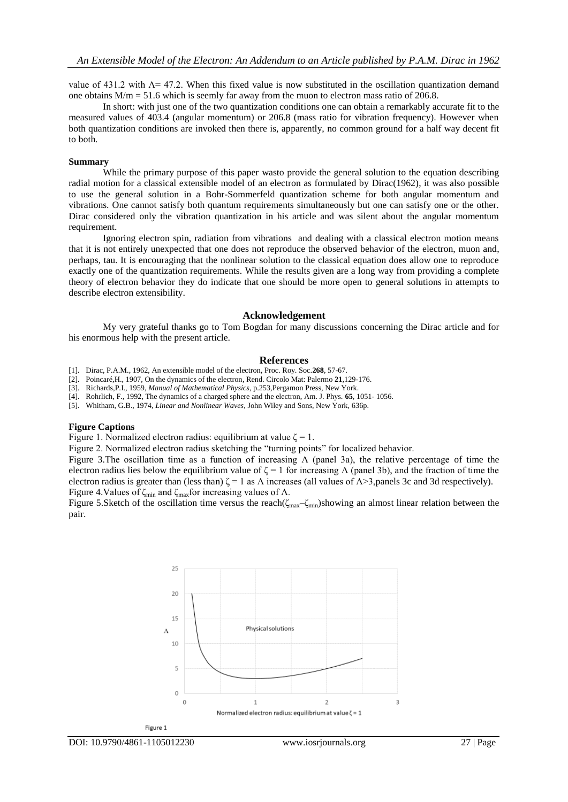value of 431.2 with  $\Lambda$ = 47.2. When this fixed value is now substituted in the oscillation quantization demand one obtains  $M/m = 51.6$  which is seemly far away from the muon to electron mass ratio of 206.8.

In short: with just one of the two quantization conditions one can obtain a remarkably accurate fit to the measured values of 403.4 (angular momentum) or 206.8 (mass ratio for vibration frequency). However when both quantization conditions are invoked then there is, apparently, no common ground for a half way decent fit to both.

## **Summary**

While the primary purpose of this paper wasto provide the general solution to the equation describing radial motion for a classical extensible model of an electron as formulated by Dirac(1962), it was also possible to use the general solution in a Bohr-Sommerfeld quantization scheme for both angular momentum and vibrations. One cannot satisfy both quantum requirements simultaneously but one can satisfy one or the other. Dirac considered only the vibration quantization in his article and was silent about the angular momentum requirement.

Ignoring electron spin, radiation from vibrations and dealing with a classical electron motion means that it is not entirely unexpected that one does not reproduce the observed behavior of the electron, muon and, perhaps, tau. It is encouraging that the nonlinear solution to the classical equation does allow one to reproduce exactly one of the quantization requirements. While the results given are a long way from providing a complete theory of electron behavior they do indicate that one should be more open to general solutions in attempts to describe electron extensibility.

#### **Acknowledgement**

My very grateful thanks go to Tom Bogdan for many discussions concerning the Dirac article and for his enormous help with the present article.

#### **References**

[1]. Dirac, P.A.M., 1962, An extensible model of the electron, Proc. Roy. Soc.**268**, 57-67.

[2]. Poincaré,H., 1907, On the dynamics of the electron, Rend. Circolo Mat: Palermo **21**,129-176.

[3]. Richards,P.I., 1959, *Manual of Mathematical Physics*, p.253,Pergamon Press, New York.

[4]. Rohrlich, F., 1992, The dynamics of a charged sphere and the electron, Am. J. Phys. **65**, 1051- 1056.

[5]. Whitham, G.B., 1974, *Linear and Nonlinear Waves*, John Wiley and Sons, New York, 636p.

# **Figure Captions**

Figure 1. Normalized electron radius: equilibrium at value  $\zeta = 1$ .

Figure 2. Normalized electron radius sketching the "turning points" for localized behavior.

Figure 3.The oscillation time as a function of increasing  $\Lambda$  (panel 3a), the relative percentage of time the electron radius lies below the equilibrium value of  $\zeta = 1$  for increasing  $\Lambda$  (panel 3b), and the fraction of time the electron radius is greater than (less than)  $\zeta = 1$  as  $\Lambda$  increases (all values of  $\Lambda > 3$ , panels 3c and 3d respectively). Figure 4.Values of  $\zeta_{\text{min}}$  and  $\zeta_{\text{max}}$  for increasing values of  $\Lambda$ .

Figure 5.Sketch of the oscillation time versus the reach( $\zeta_{\text{max}}-\zeta_{\text{min}}$ )showing an almost linear relation between the pair.

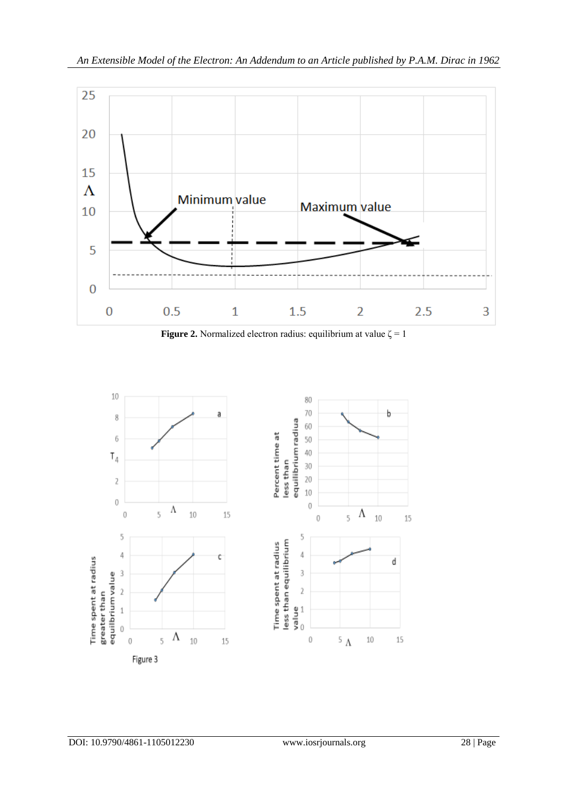

**Figure 2.** Normalized electron radius: equilibrium at value  $\zeta = 1$